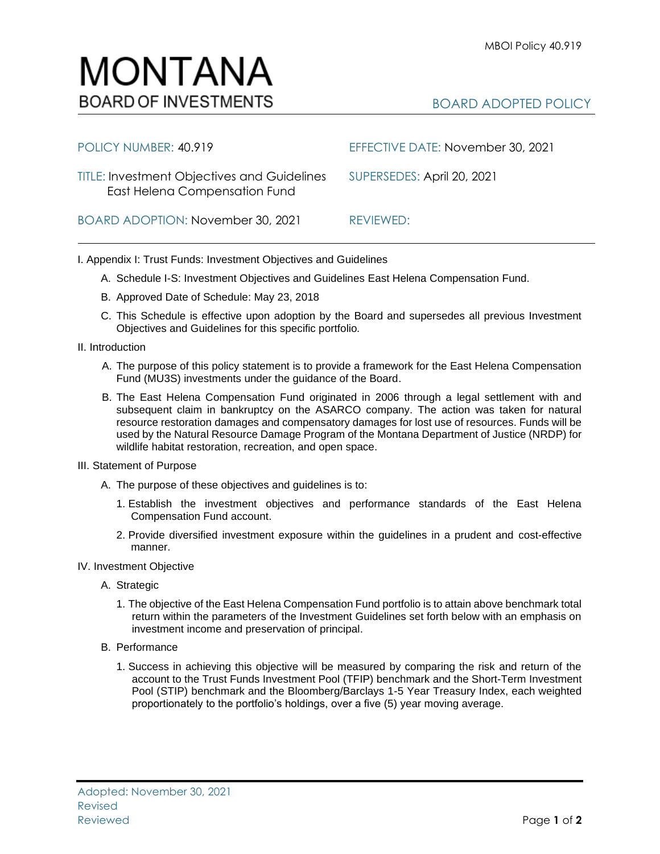

## BOARD ADOPTED POLICY

| POLICY NUMBER: 40.919                                                               | EFFECTIVE DATE: November 30, 2021 |
|-------------------------------------------------------------------------------------|-----------------------------------|
| <b>TITLE: Investment Objectives and Guidelines</b><br>East Helena Compensation Fund | SUPERSEDES: April 20, 2021        |
| BOARD ADOPTION: November 30, 2021                                                   | REVIEWED:                         |

I. Appendix I: Trust Funds: Investment Objectives and Guidelines

- A. Schedule I-S: Investment Objectives and Guidelines East Helena Compensation Fund.
- B. Approved Date of Schedule: May 23, 2018
- C. This Schedule is effective upon adoption by the Board and supersedes all previous Investment Objectives and Guidelines for this specific portfolio*.*
- II. Introduction
	- A. The purpose of this policy statement is to provide a framework for the East Helena Compensation Fund (MU3S) investments under the guidance of the Board.
	- B. The East Helena Compensation Fund originated in 2006 through a legal settlement with and subsequent claim in bankruptcy on the ASARCO company. The action was taken for natural resource restoration damages and compensatory damages for lost use of resources. Funds will be used by the Natural Resource Damage Program of the Montana Department of Justice (NRDP) for wildlife habitat restoration, recreation, and open space.
- III. Statement of Purpose
	- A. The purpose of these objectives and guidelines is to:
		- 1. Establish the investment objectives and performance standards of the East Helena Compensation Fund account.
		- 2. Provide diversified investment exposure within the guidelines in a prudent and cost-effective manner.
- IV. Investment Objective
	- A. Strategic
		- 1. The objective of the East Helena Compensation Fund portfolio is to attain above benchmark total return within the parameters of the Investment Guidelines set forth below with an emphasis on investment income and preservation of principal.
	- B. Performance
		- 1. Success in achieving this objective will be measured by comparing the risk and return of the account to the Trust Funds Investment Pool (TFIP) benchmark and the Short-Term Investment Pool (STIP) benchmark and the Bloomberg/Barclays 1-5 Year Treasury Index, each weighted proportionately to the portfolio's holdings, over a five (5) year moving average.